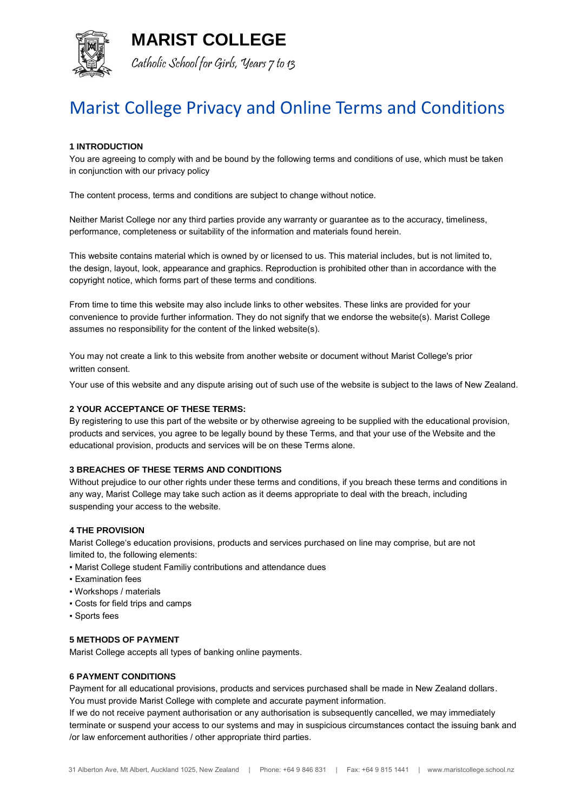**MARIST COLLEGE**



Catholic School for Girls, Years 7 to 13

# Marist College Privacy and Online Terms and Conditions

# **1 INTRODUCTION**

You are agreeing to comply with and be bound by the following terms and conditions of use, which must be taken in conjunction with our privacy policy

The content process, terms and conditions are subject to change without notice.

Neither Marist College nor any third parties provide any warranty or guarantee as to the accuracy, timeliness, performance, completeness or suitability of the information and materials found herein.

This website contains material which is owned by or licensed to us. This material includes, but is not limited to, the design, layout, look, appearance and graphics. Reproduction is prohibited other than in accordance with the copyright notice, which forms part of these terms and conditions.

From time to time this website may also include links to other websites. These links are provided for your convenience to provide further information. They do not signify that we endorse the website(s). Marist College assumes no responsibility for the content of the linked website(s).

You may not create a link to this website from another website or document without Marist College's prior written consent.

Your use of this website and any dispute arising out of such use of the website is subject to the laws of New Zealand.

## **2 YOUR ACCEPTANCE OF THESE TERMS:**

By registering to use this part of the website or by otherwise agreeing to be supplied with the educational provision, products and services, you agree to be legally bound by these Terms, and that your use of the Website and the educational provision, products and services will be on these Terms alone.

### **3 BREACHES OF THESE TERMS AND CONDITIONS**

Without prejudice to our other rights under these terms and conditions, if you breach these terms and conditions in any way, Marist College may take such action as it deems appropriate to deal with the breach, including suspending your access to the website.

### **4 THE PROVISION**

Marist College's education provisions, products and services purchased on line may comprise, but are not limited to, the following elements:

- Marist College student Familiy contributions and attendance dues
- Examination fees
- Workshops / materials
- Costs for field trips and camps
- Sports fees

# **5 METHODS OF PAYMENT**

Marist College accepts all types of banking online payments.

### **6 PAYMENT CONDITIONS**

Payment for all educational provisions, products and services purchased shall be made in New Zealand dollars. You must provide Marist College with complete and accurate payment information.

If we do not receive payment authorisation or any authorisation is subsequently cancelled, we may immediately terminate or suspend your access to our systems and may in suspicious circumstances contact the issuing bank and /or law enforcement authorities / other appropriate third parties.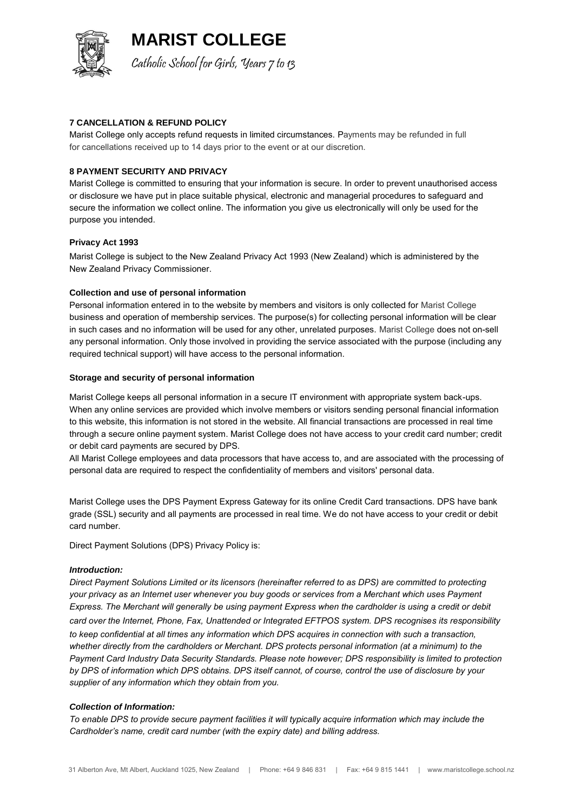

**MARIST COLLEGE**

Catholic School for Girls, Years 7 to 13

## **7 CANCELLATION & REFUND POLICY**

Marist College only accepts refund requests in limited circumstances. Payments may be refunded in full for cancellations received up to 14 days prior to the event or at our discretion.

## **8 PAYMENT SECURITY AND PRIVACY**

Marist College is committed to ensuring that your information is secure. In order to prevent unauthorised access or disclosure we have put in place suitable physical, electronic and managerial procedures to safeguard and secure the information we collect online. The information you give us electronically will only be used for the purpose you intended.

### **Privacy Act 1993**

Marist College is subject to the New Zealand Privacy Act 1993 (New Zealand) which is administered by the New Zealand Privacy Commissioner.

## **Collection and use of personal information**

Personal information entered in to the website by members and visitors is only collected for Marist College business and operation of membership services. The purpose(s) for collecting personal information will be clear in such cases and no information will be used for any other, unrelated purposes. Marist College does not on-sell any personal information. Only those involved in providing the service associated with the purpose (including any required technical support) will have access to the personal information.

### **Storage and security of personal information**

Marist College keeps all personal information in a secure IT environment with appropriate system back-ups. When any online services are provided which involve members or visitors sending personal financial information to this website, this information is not stored in the website. All financial transactions are processed in real time through a secure online payment system. Marist College does not have access to your credit card number; credit or debit card payments are secured by DPS.

All Marist College employees and data processors that have access to, and are associated with the processing of personal data are required to respect the confidentiality of members and visitors' personal data.

Marist College uses the DPS Payment Express Gateway for its online Credit Card transactions. DPS have bank grade (SSL) security and all payments are processed in real time. We do not have access to your credit or debit card number.

Direct Payment Solutions (DPS) Privacy Policy is:

### *Introduction:*

*Direct Payment Solutions Limited or its licensors (hereinafter referred to as DPS) are committed to protecting your privacy as an Internet user whenever you buy goods or services from a Merchant which uses Payment Express. The Merchant will generally be using payment Express when the cardholder is using a credit or debit card over the Internet, Phone, Fax, Unattended or Integrated EFTPOS system. DPS recognises its responsibility to keep confidential at all times any information which DPS acquires in connection with such a transaction, whether directly from the cardholders or Merchant. DPS protects personal information (at a minimum) to the Payment Card Industry Data Security Standards. Please note however; DPS responsibility is limited to protection by DPS of information which DPS obtains. DPS itself cannot, of course, control the use of disclosure by your supplier of any information which they obtain from you.* 

### *Collection of Information:*

*To enable DPS to provide secure payment facilities it will typically acquire information which may include the Cardholder's name, credit card number (with the expiry date) and billing address.*